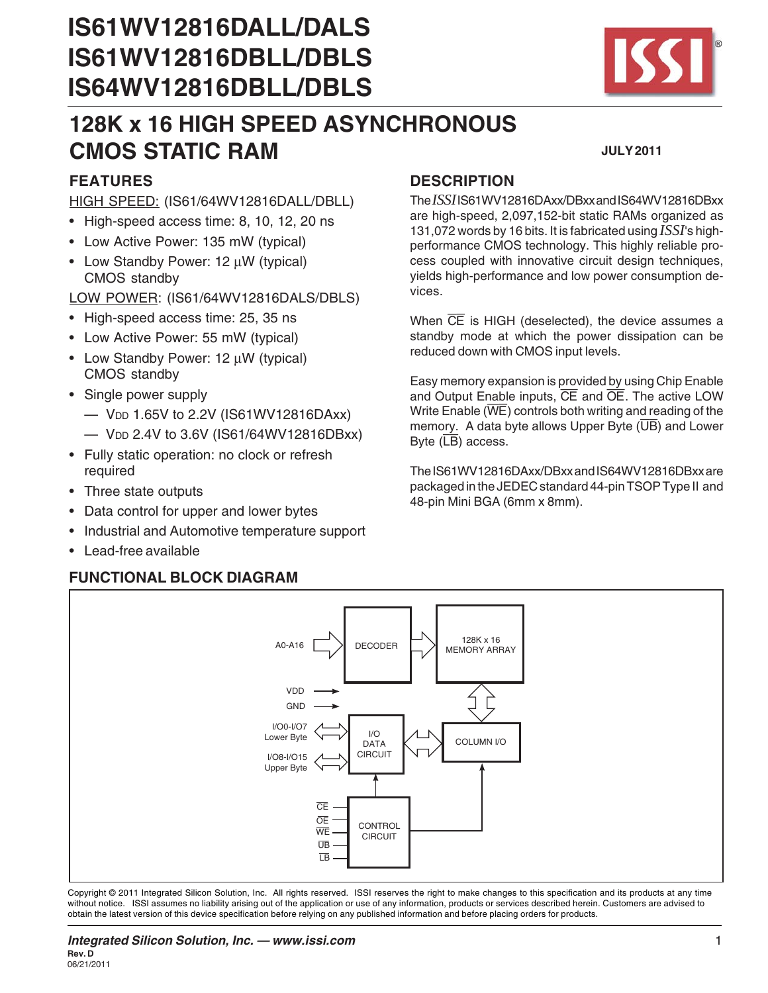# **IS61WV12816DALL/DALS IS61WV12816DBLL/DBLS IS64WV12816DBLL/DBLS**

# **128K x 16 HIGH SPEED ASYNCHRONOUS CMOS STATIC RAM**

# **FEATURES**

#### HIGH SPEED: (IS61/64WV12816DALL/DBLL)

- High-speed access time: 8, 10, 12, 20 ns
- Low Active Power: 135 mW (typical)
- Low Standby Power: 12 μW (typical) CMOS standby

LOW POWER: (IS61/64WV12816DALS/DBLS)

- High-speed access time: 25, 35 ns
- Low Active Power: 55 mW (typical)
- Low Standby Power: 12 μW (typical) CMOS standby
- Single power supply
	- VDD 1.65V to 2.2V (IS61WV12816DAxx)
	- VDD 2.4V to 3.6V (IS61/64WV12816DBxx)
- Fully static operation: no clock or refresh required
- Three state outputs
- Data control for upper and lower bytes
- Industrial and Automotive temperature support
- Lead-free available

## **FUNCTIONAL BLOCK DIAGRAM**

# **DESCRIPTION**

The *ISSI* IS61WV12816DAxx/DBxx and IS64WV12816DBxx are high-speed, 2,097,152-bit static RAMs organized as 131,072 words by 16 bits. It is fabricated using *ISSI*'s highperformance CMOS technology. This highly reliable process coupled with innovative circuit design techniques, yields high-performance and low power consumption devices.

When  $\overline{CE}$  is HIGH (deselected), the device assumes a standby mode at which the power dissipation can be reduced down with CMOS input levels.

Easy memory expansion is provided by using Chip Enable and Output Enable inputs, CE and OE. The active LOW Write Enable  $(\overline{WE})$  controls both writing and reading of the memory. A data byte allows Upper Byte  $(\overline{UB})$  and Lower Byte  $(\overline{LB})$  access.

The IS61WV12816DAxx/DBxx and IS64WV12816DBxx are packaged in the JEDEC standard 44-pin TSOP Type II and 48-pin Mini BGA (6mm x 8mm).



Copyright © 2011 Integrated Silicon Solution, Inc. All rights reserved. ISSI reserves the right to make changes to this specification and its products at any time without notice. ISSI assumes no liability arising out of the application or use of any information, products or services described herein. Customers are advised to obtain the latest version of this device specification before relying on any published information and before placing orders for products.



**JULY 2011**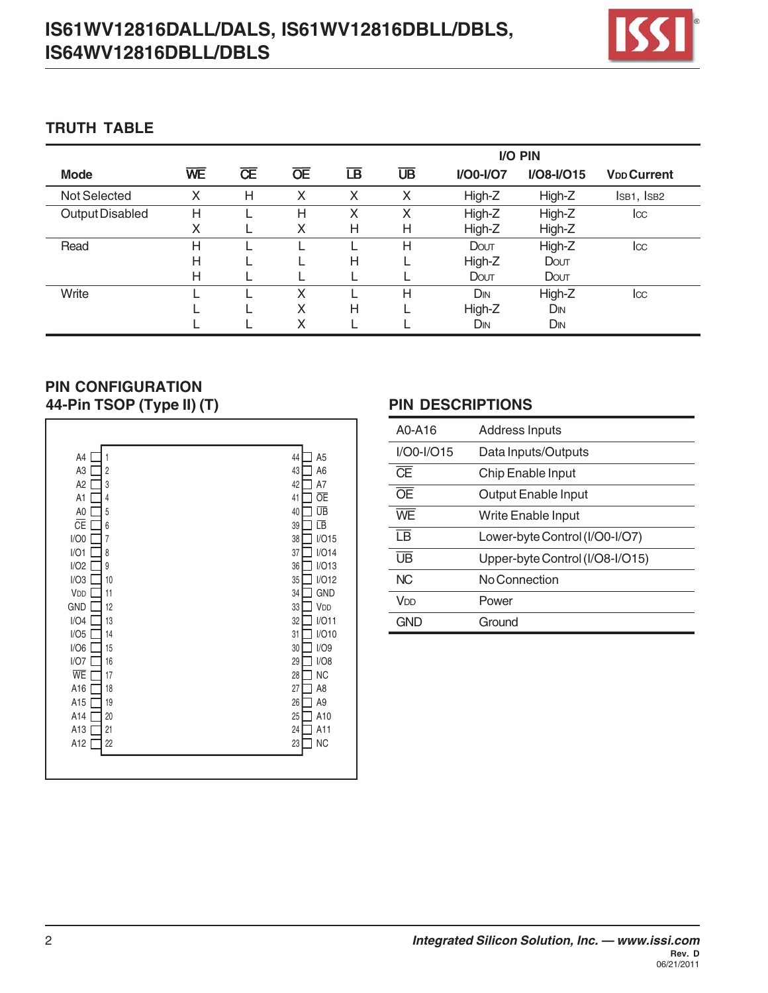# **IS61WV12816DALL/DALS, IS61WV12816DBLL/DBLS, IS64WV12816DBLL/DBLS**



#### **TRUTH TABLE**

|                 |    |   |   |                                   |    |             | I/O PIN         |                               |
|-----------------|----|---|---|-----------------------------------|----|-------------|-----------------|-------------------------------|
| <b>Mode</b>     | WE | Œ | Œ | $\overline{\mathsf{L}}\mathsf{B}$ | UB | $I/OO-I/O7$ | $I/O8-I/O15$    | <b>V<sub>DD</sub></b> Current |
| Not Selected    | Χ  | H | X | X                                 | X  | High-Z      | High-Z          | IsB1, IsB2                    |
| Output Disabled | Н  |   | н | Х                                 | Х  | High-Z      | High-Z          | $_{\text{loc}}$               |
|                 | X  |   | X | Η                                 | Η  | High-Z      | High-Z          |                               |
| Read            | H  |   |   |                                   | Н  | Dout        | High-Z          | $_{\text{loc}}$               |
|                 | Н  |   |   | Η                                 |    | High-Z      | Dout            |                               |
|                 | Н  |   |   |                                   |    | Dout        | Dout            |                               |
| Write           |    |   | x |                                   | Η  | DIN         | High-Z          | $_{\text{loc}}$               |
|                 |    |   | X | Н                                 |    | High-Z      | D <sub>IN</sub> |                               |
|                 |    |   | x |                                   |    | DIN         | DIN             |                               |

## **44-Pin TSOP (Type II) (T) PIN DESCRIPTIONS PIN CONFIGURATION**

| A4             | 44             |
|----------------|----------------|
| 1              | A <sub>5</sub> |
| A3             | 43             |
| $\overline{c}$ | A <sub>6</sub> |
| A <sub>2</sub> | 42             |
| 3              | A7             |
| A1             | ŌE             |
| 4              | 41             |
| A0             | ŪB             |
| 5              | 40             |
| ĈΕ             | ιīΒ            |
| 6              | 39             |
| I/O0           | I/O15          |
| 7              | 38             |
| I/O1           | I/O14          |
| 8              | 37             |
| I/O2           | I/O13          |
| 9              | 36             |
| I/O3           | I/O12          |
| 10             | 35             |
| VDD            | GND            |
| 11             | 34             |
| GND            | VDD            |
| 12             | 33             |
| I/O4           | I/O11          |
| 13             | 32             |
| I/O5           | I/O10          |
| 14             | 31             |
| I/O6           | I/O9           |
| 15             | 30             |
| I/O7           | I/O8           |
| 16             | 29             |
| WE             | <b>NC</b>      |
| 17             | 28             |
| A16            | 27             |
| 18             | A <sub>8</sub> |
| A15            | 26             |
| 19             | A9             |
| A14            | 25             |
| 20             | A10            |
| A13            | A11            |
| 21             | 24             |
|                | <b>NC</b>      |
| A12<br>22      | 23             |

| A0-A16                   | <b>Address Inputs</b>           |
|--------------------------|---------------------------------|
| I/O0-I/O15               | Data Inputs/Outputs             |
| Œ                        | Chip Enable Input               |
| $\overline{OE}$          | Output Enable Input             |
| WF                       | Write Enable Input              |
| $\overline{\mathsf{IB}}$ | Lower-byte Control (I/O0-I/O7)  |
| $\overline{UB}$          | Upper-byte Control (I/O8-I/O15) |
| NC <sub>1</sub>          | No Connection                   |
| V <sub>DD</sub>          | Power                           |
| GND                      | Ground                          |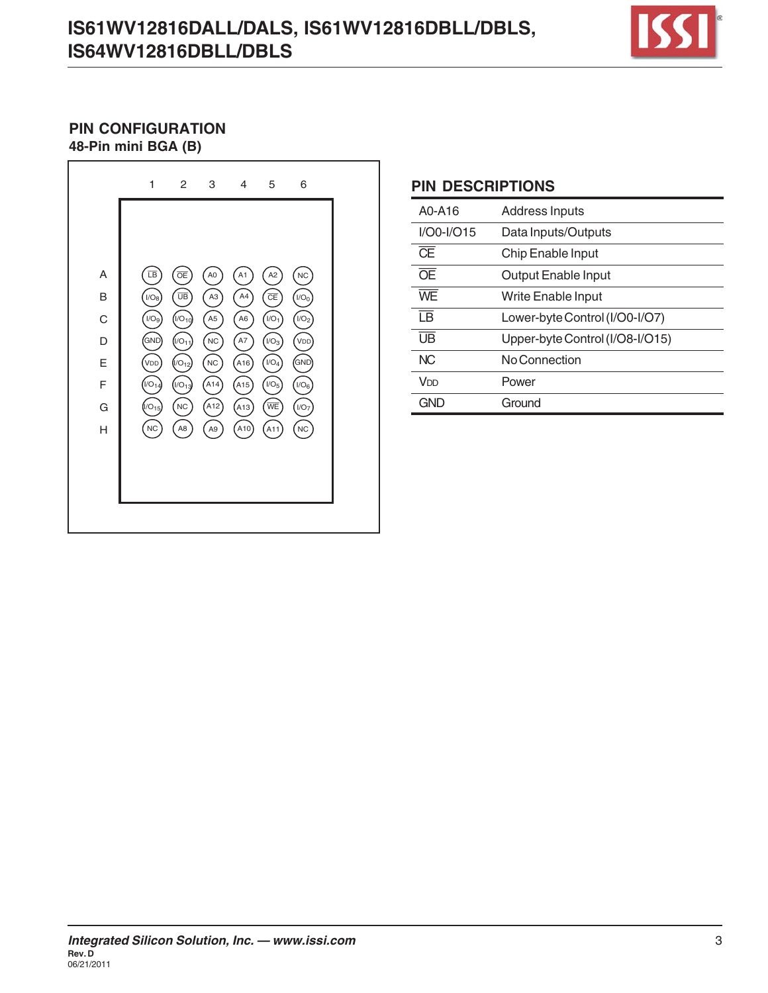# **IS61WV12816DALL/DALS, IS61WV12816DBLL/DBLS, IS64WV12816DBLL/DBLS**



#### **48-Pin mini BGA (B) PIN CONFIGURATION**



#### **PIN DESCRIPTIONS**

| A0-A16                   | Address Inputs                  |
|--------------------------|---------------------------------|
| $I/OO-I/O15$             | Data Inputs/Outputs             |
| $\overline{\text{CE}}$   | Chip Enable Input               |
| $\overline{OE}$          | Output Enable Input             |
| WF                       | <b>Write Enable Input</b>       |
| $\overline{\mathsf{IB}}$ | Lower-byte Control (I/O0-I/O7)  |
| $\overline{UB}$          | Upper-byte Control (I/O8-I/O15) |
| N <sub>C</sub>           | No Connection                   |
| V <sub>DD</sub>          | Power                           |
| <b>GND</b>               | Ground                          |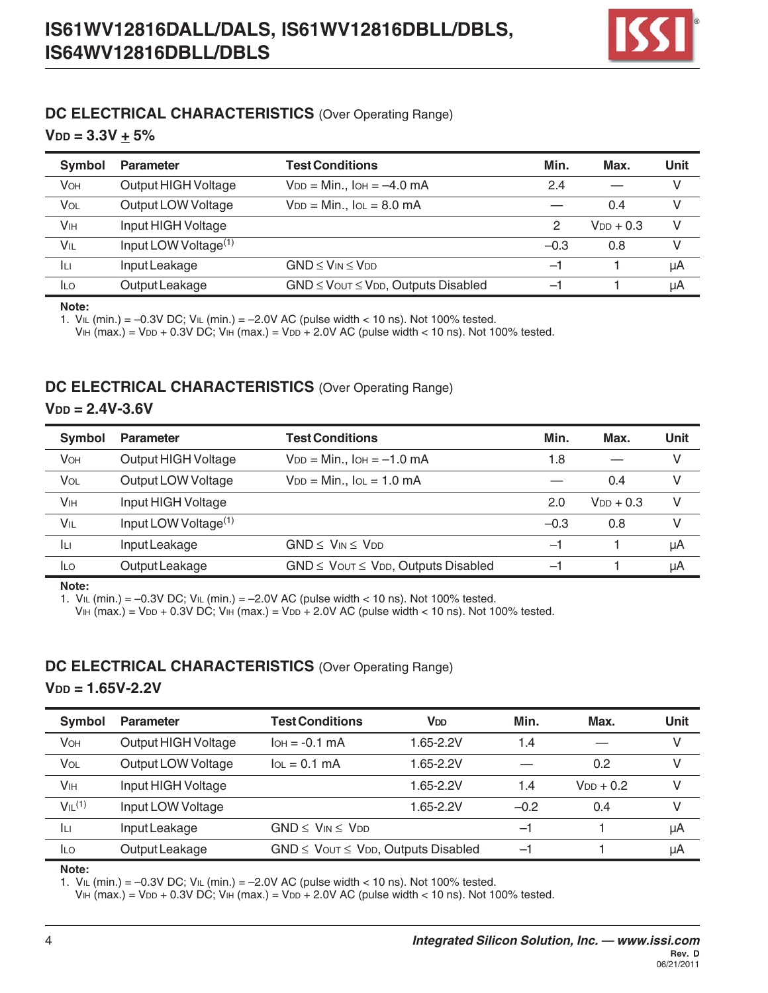

#### **DC ELECTRICAL CHARACTERISTICS** (Over Operating Range)

 $V_{DD} = 3.3V + 5%$ 

| Symbol                | <b>Parameter</b>        | <b>Test Conditions</b>                         | Min.   | Max.           | Unit |
|-----------------------|-------------------------|------------------------------------------------|--------|----------------|------|
| <b>VOH</b>            | Output HIGH Voltage     | $V_{DD} = Min.$ , $I_{OH} = -4.0$ mA           | 2.4    |                |      |
| VOL                   | Output LOW Voltage      | $V_{DD} = Min., IoL = 8.0 mA$                  |        | 0.4            |      |
| <b>V<sub>IH</sub></b> | Input HIGH Voltage      |                                                | 2      | $V_{DD}$ + 0.3 | V    |
| VIL                   | Input LOW Voltage $(1)$ |                                                | $-0.3$ | 0.8            |      |
| ĪЦ                    | Input Leakage           | $GND \leq V_{IN} \leq V_{DD}$                  | -1     |                | μA   |
| <b>ILO</b>            | Output Leakage          | $GND \leq V$ OUT $\leq VDD$ , Outputs Disabled | —1     |                | μA   |

**Note:**

1.  $V_{IL}$  (min.) = -0.3V DC;  $V_{IL}$  (min.) = -2.0V AC (pulse width < 10 ns). Not 100% tested.

VIH (max.) = VDD + 0.3V DC; VIH (max.) = VDD + 2.0V AC (pulse width < 10 ns). Not 100% tested.

#### **DC ELECTRICAL CHARACTERISTICS** (Over Operating Range)

 $V_{DD} = 2.4V - 3.6V$ 

| Symbol                | <b>Parameter</b>        | <b>Test Conditions</b>                         | Min.   | Max.           | Unit |
|-----------------------|-------------------------|------------------------------------------------|--------|----------------|------|
| <b>VOH</b>            | Output HIGH Voltage     | $V_{DD} = Min.$ , $I_{OH} = -1.0$ mA           | 1.8    |                | V    |
| VOL                   | Output LOW Voltage      | $V_{DD} = Min.$ , $IOL = 1.0 mA$               |        | 0.4            | V    |
| <b>V<sub>IH</sub></b> | Input HIGH Voltage      |                                                | 2.0    | $V_{DD}$ + 0.3 | V    |
| VIL                   | Input LOW Voltage $(1)$ |                                                | $-0.3$ | 0.8            | V    |
| Iц                    | Input Leakage           | $GND \leq V_{IN} \leq V_{DD}$                  | -1     |                | μA   |
| <b>ILO</b>            | Output Leakage          | $GND \leq V$ OUT $\leq V$ DD, Outputs Disabled | -1     |                | μA   |

**Note:**

1.  $V_{IL}$  (min.) = -0.3V DC;  $V_{IL}$  (min.) = -2.0V AC (pulse width < 10 ns). Not 100% tested.

VIH (max.) = VDD + 0.3V DC; VIH (max.) = VDD + 2.0V AC (pulse width < 10 ns). Not 100% tested.

#### **DC ELECTRICAL CHARACTERISTICS** (Over Operating Range)

#### $V_{DD} = 1.65V - 2.2V$

| Symbol                | <b>Parameter</b>    | <b>Test Conditions</b>                         | Vdd       | Min.   | Max.           | Unit |
|-----------------------|---------------------|------------------------------------------------|-----------|--------|----------------|------|
| <b>VOH</b>            | Output HIGH Voltage | $I$ OH = $-0.1$ MA                             | 1.65-2.2V | 1.4    |                | v    |
| VOL                   | Output LOW Voltage  | $IOL = 0.1 mA$                                 | 1.65-2.2V |        | 0.2            | V    |
| <b>V<sub>IH</sub></b> | Input HIGH Voltage  |                                                | 1.65-2.2V | 1.4    | $V_{DD}$ + 0.2 | v    |
| VIL <sup>(1)</sup>    | Input LOW Voltage   |                                                | 1.65-2.2V | $-0.2$ | 0.4            | V    |
| ĪЦ                    | Input Leakage       | $GND \leq V_{IN} \leq V_{DD}$                  |           | $-1$   |                | μA   |
| <b>ILO</b>            | Output Leakage      | $GND \leq V$ OUT $\leq VDD$ , Outputs Disabled |           | $-$    |                | μA   |

#### **Note:**

1.  $V_{IL}$  (min.) = -0.3V DC;  $V_{IL}$  (min.) = -2.0V AC (pulse width < 10 ns). Not 100% tested.

VIH (max.) = VDD + 0.3V DC; VIH (max.) = VDD + 2.0V AC (pulse width < 10 ns). Not 100% tested.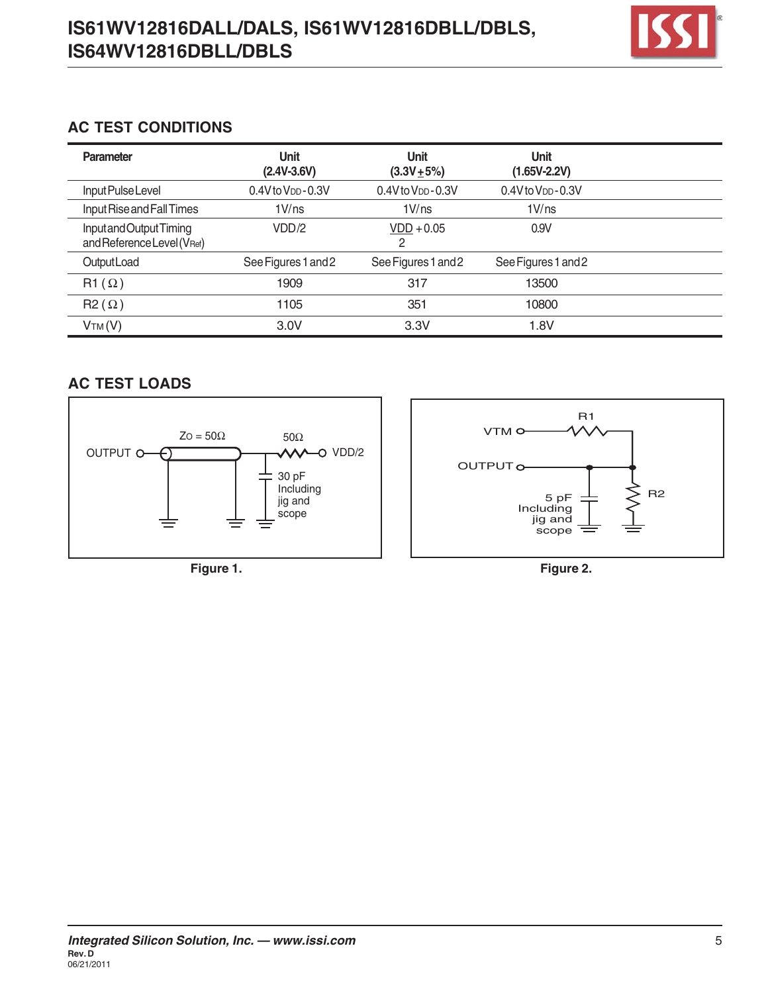

## **AC TEST CONDITIONS**

| Parameter                                             | <b>Unit</b><br>$(2.4V - 3.6V)$      | <b>Unit</b><br>$(3.3V + 5%)$ | <b>Unit</b><br>$(1.65V - 2.2V)$     |  |
|-------------------------------------------------------|-------------------------------------|------------------------------|-------------------------------------|--|
| Input Pulse Level                                     | $0.4V$ to $V$ <sub>DD</sub> $-0.3V$ | $0.4V$ to $VDD - 0.3V$       | $0.4V$ to $V$ <sub>DD</sub> $-0.3V$ |  |
| Input Rise and Fall Times                             | 1 V/ns                              | 1 V/ns                       | 1 V/ns                              |  |
| Input and Output Timing<br>and Reference Level (VRef) | VDD/2                               | $VDD + 0.05$<br>2            | 0.9V                                |  |
| Output Load                                           | See Figures 1 and 2                 | See Figures 1 and 2          | See Figures 1 and 2                 |  |
| $R1(\Omega)$                                          | 1909                                | 317                          | 13500                               |  |
| $R2(\Omega)$                                          | 1105                                | 351                          | 10800                               |  |
| VTM(V)                                                | 3.0V                                | 3.3V                         | 1.8V                                |  |

# **AC TEST LOADS**



**Figure 1.**

**Figure 2.**

5 pF Including jig and scope

OUTPUT<sub>O</sub>

VTM

R1

R2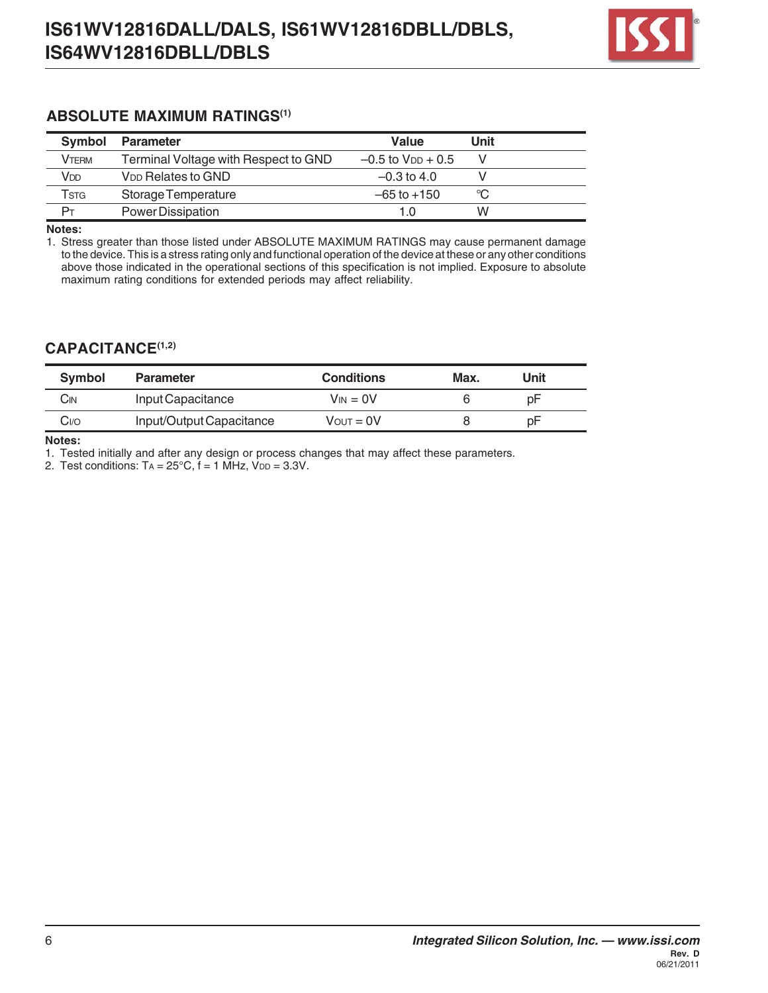

#### **ABSOLUTE MAXIMUM RATINGS(1)**

| <b>Symbol</b> | <b>Parameter</b>                     | Value                    | Unit |  |
|---------------|--------------------------------------|--------------------------|------|--|
| <b>VTERM</b>  | Terminal Voltage with Respect to GND | $-0.5$ to $V_{DD} + 0.5$ |      |  |
| Vdd           | <b>V<sub>DD</sub></b> Relates to GND | $-0.3$ to 4.0            |      |  |
| Tsta          | Storage Temperature                  | $-65$ to $+150$          | ℃    |  |
|               | Power Dissipation                    | 1.0                      | w    |  |

**Notes:**

1. Stress greater than those listed under ABSOLUTE MAXIMUM RATINGS may cause permanent damage to the device. This is a stress rating only and functional operation of the device at these or any other conditions above those indicated in the operational sections of this specification is not implied. Exposure to absolute maximum rating conditions for extended periods may affect reliability.

#### **CAPACITANCE(1,2)**

| Symbol | <b>Parameter</b>         | <b>Conditions</b>     | Max. | Unit |  |
|--------|--------------------------|-----------------------|------|------|--|
| Cın    | Input Capacitance        | $V_{IN} = 0V$         |      | рF   |  |
| Cı⁄o   | Input/Output Capacitance | $V_{\text{OUT}} = 0V$ |      | рF   |  |

**Notes:**

1. Tested initially and after any design or process changes that may affect these parameters.

2. Test conditions:  $Ta = 25^{\circ}C$ ,  $f = 1$  MHz,  $V_{DD} = 3.3V$ .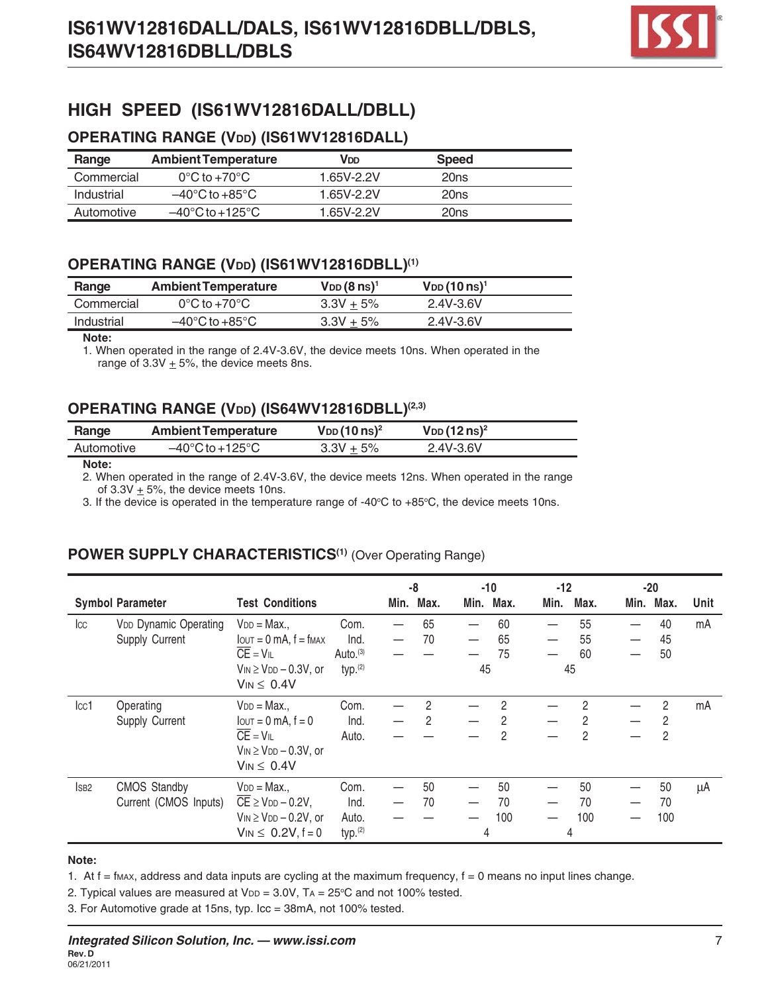

# **HIGH SPEED (IS61WV12816DALL/DBLL)**

#### **OPERATING RANGE (VDD) (IS61WV12816DALL)**

| Range      | <b>Ambient Temperature</b>           | VDD        | <b>Speed</b> |  |
|------------|--------------------------------------|------------|--------------|--|
| Commercial | $0^{\circ}$ C to +70 $^{\circ}$ C    | 1.65V-2.2V | 20ns         |  |
| Industrial | $-40^{\circ}$ C to $+85^{\circ}$ C   | 1.65V-2.2V | 20ns         |  |
| Automotive | $-40^{\circ}$ C to +125 $^{\circ}$ C | 1 65V-2 2V | 20ns         |  |

#### OPERATING RANGE (VDD) (IS61WV12816DBLL)<sup>(1)</sup>

| Range      | <b>Ambient Temperature</b>         | $V_{DD}$ (8 ns) <sup>1</sup> | $V_{DD}$ (10 ns) <sup>1</sup> |  |
|------------|------------------------------------|------------------------------|-------------------------------|--|
| Commercial | $0^{\circ}$ C to +70 $^{\circ}$ C  | $3.3V + 5\%$                 | 2.4V-3.6V                     |  |
| Industrial | $-40^{\circ}$ C to $+85^{\circ}$ C | $3.3V + 5%$                  | 2.4V-3.6V                     |  |

#### **Note:**

1. When operated in the range of 2.4V-3.6V, the device meets 10ns. When operated in the range of  $3.3V \pm 5%$ , the device meets 8ns.

#### OPERATING RANGE (VDD) (IS64WV12816DBLL)<sup>(2,3)</sup>

| Range      | <b>Ambient Temperature</b>           | $V_{DD}$ (10 ns) <sup>2</sup> | $V_{DD}$ (12 ns) <sup>2</sup> |  |
|------------|--------------------------------------|-------------------------------|-------------------------------|--|
| Automotive | $-40^{\circ}$ C to +125 $^{\circ}$ C | $3.3V + 5%$                   | 2.4V-3.6V                     |  |

#### **Note:**

2. When operated in the range of 2.4V-3.6V, the device meets 12ns. When operated in the range of  $3.3V + 5%$ , the device meets 10ns.

3. If the device is operated in the temperature range of -40°C to +85°C, the device meets 10ns.

#### POWER SUPPLY CHARACTERISTICS<sup>(1)</sup> (Over Operating Range)

|                |                              |                                                  |                      |      | -8   |      | -10  | $-12$ |                |      | $-20$ |      |
|----------------|------------------------------|--------------------------------------------------|----------------------|------|------|------|------|-------|----------------|------|-------|------|
|                | <b>Symbol Parameter</b>      | <b>Test Conditions</b>                           |                      | Min. | Max. | Min. | Max. | Min.  | Max.           | Min. | Max.  | Unit |
| $ _{CC}$       | <b>VDD Dynamic Operating</b> | $V_{DD} = Max.$                                  | Com.                 |      | 65   |      | 60   |       | 55             |      | 40    | mA   |
|                | Supply Current               | $I$ $OUT = 0$ mA, $f = f$ $MAX$                  | Ind.                 |      | 70   |      | 65   |       | 55             |      | 45    |      |
|                |                              | $\overline{CE} = VIL$                            | Auto. <sup>(3)</sup> |      |      |      | 75   |       | 60             |      | 50    |      |
|                |                              | $V_{IN} \geq V_{DD} - 0.3V$ , or                 | typ. <sup>(2)</sup>  |      |      | 45   |      |       | 45             |      |       |      |
|                |                              | $V_{IN} \leq 0.4V$                               |                      |      |      |      |      |       |                |      |       |      |
| cc1            | Operating                    | $V_{DD} = Max.$                                  | Com.                 |      | 2    |      | 2    |       | 2              |      | 2     | mA   |
|                | Supply Current               | $I$ out = 0 mA, $f = 0$                          | Ind.                 |      | 2    |      | 2    |       | 2              |      | 2     |      |
|                |                              | $\overline{CE} = VIL$                            | Auto.                |      |      |      | 2    |       | $\mathfrak{p}$ |      | 2     |      |
|                |                              | $V_{IN} \geq V_{DD} - 0.3V$ , or                 |                      |      |      |      |      |       |                |      |       |      |
|                |                              | $V_{IN} \leq 0.4V$                               |                      |      |      |      |      |       |                |      |       |      |
| <sub>SB2</sub> | <b>CMOS Standby</b>          | $V_{DD} = Max.$                                  | Com.                 |      | 50   |      | 50   |       | 50             |      | 50    | μA   |
|                | Current (CMOS Inputs)        | $\overline{CE}$ $\geq$ V <sub>DD</sub> $-$ 0.2V, | Ind.                 |      | 70   |      | 70   |       | 70             |      | 70    |      |
|                |                              | $V_{IN} \geq V_{DD} - 0.2V$ , or                 | Auto.                |      |      |      | 100  |       | 100            |      | 100   |      |
|                |                              | $V_{IN} \le 0.2V, f = 0$                         | typ. <sup>(2)</sup>  |      |      | 4    |      |       | 4              |      |       |      |

#### **Note:**

1. At  $f = f_{MAX}$ , address and data inputs are cycling at the maximum frequency,  $f = 0$  means no input lines change.

2. Typical values are measured at  $V_{DD} = 3.0V$ , TA = 25°C and not 100% tested.

3. For Automotive grade at 15ns, typ. Icc = 38mA, not 100% tested.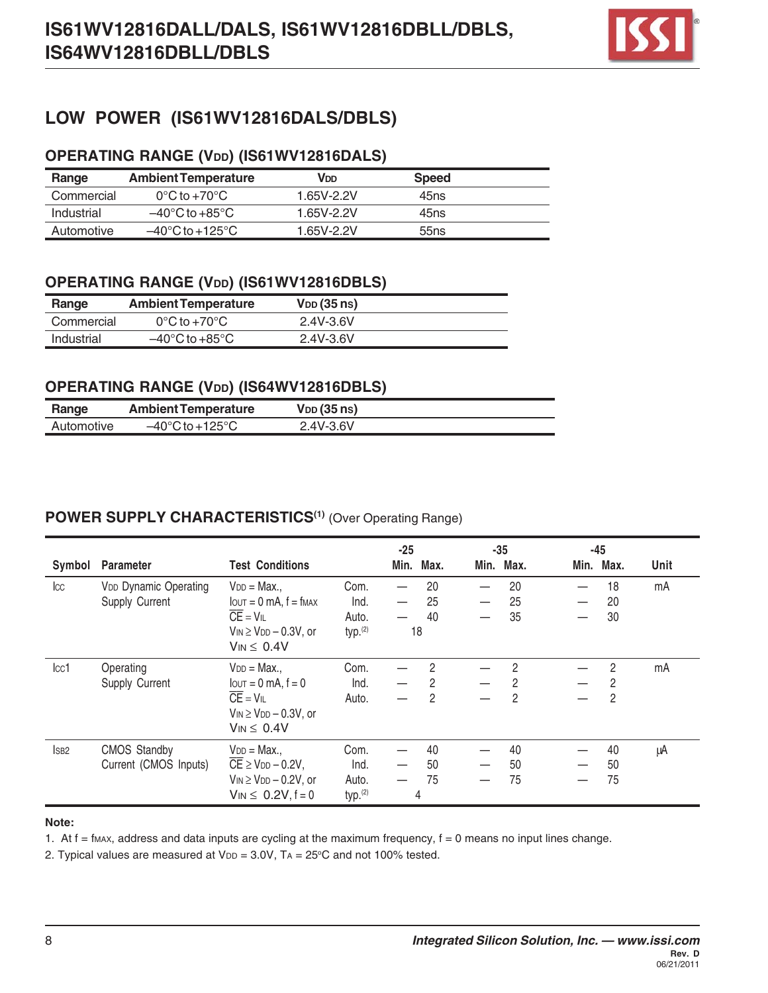

# **LOW POWER (IS61WV12816DALS/DBLS)**

## **OPERATING RANGE (VDD) (IS61WV12816DALS)**

| Range      | <b>Ambient Temperature</b>           | VDD        | <b>Speed</b> |  |
|------------|--------------------------------------|------------|--------------|--|
| Commercial | $0^{\circ}$ C to +70 $^{\circ}$ C    | 1.65V-2.2V | 45ns         |  |
| Industrial | $-40^{\circ}$ C to $+85^{\circ}$ C   | 1.65V-2.2V | 45ns         |  |
| Automotive | $-40^{\circ}$ C to +125 $^{\circ}$ C | 1 65V-2 2V | 55ns         |  |

## **OPERATING RANGE (VDD) (IS61WV12816DBLS)**

| Range      | <b>Ambient Temperature</b>         | <b>V</b> <sub>DD</sub> (35 ns) |  |
|------------|------------------------------------|--------------------------------|--|
| Commercial | $0^{\circ}$ C to +70 $^{\circ}$ C  | 2.4V-3.6V                      |  |
| Industrial | $-40^{\circ}$ C to $+85^{\circ}$ C | 2.4V-3.6V                      |  |

#### **OPERATING RANGE (VDD) (IS64WV12816DBLS)**

| Range      | <b>Ambient Temperature</b>           | <b>V</b> <sub>DD</sub> (35 ns) |  |
|------------|--------------------------------------|--------------------------------|--|
| Automotive | $-40^{\circ}$ C to +125 $^{\circ}$ C | 2.4V-3.6V                      |  |

## POWER SUPPLY CHARACTERISTICS<sup>(1)</sup> (Over Operating Range)

| Symbol           | Parameter                                           | <b>Test Conditions</b>                                                                                                                                           |                                              | $-25$<br>Min. | Max.                     | Min. | $-35$<br>Max.  | $-45$<br>Min. Max.                                 | Unit |
|------------------|-----------------------------------------------------|------------------------------------------------------------------------------------------------------------------------------------------------------------------|----------------------------------------------|---------------|--------------------------|------|----------------|----------------------------------------------------|------|
| $ _{CC}$         | V <sub>DD</sub> Dynamic Operating<br>Supply Current | $V_{DD} = Max.$<br>$I$ $\sigma$ = 0 mA, $f = f$ $\sigma$ $\sigma$ $\sigma$<br>$\overline{CE} = V_{IL}$<br>$V_{IN} \geq V_{DD} - 0.3V$ , or<br>$V_{IN} \leq 0.4V$ | Com.<br>Ind.<br>Auto.<br>typ <sup>(2)</sup>  | 18            | 20<br>25<br>40           |      | 20<br>25<br>35 | 18<br>20<br>30                                     | mA   |
| cc1              | Operating<br>Supply Current                         | $V_{DD} = Max.$<br>$I$ out = 0 mA, $f = 0$<br>$\overline{CE} = V_{IL}$<br>$V_{IN} \geq V_{DD} - 0.3V$ , or<br>$V_{IN} \leq 0.4V$                                 | Com.<br>Ind.<br>Auto.                        |               | $\mathfrak{p}$<br>2<br>2 |      | 2<br>2<br>2    | $\overline{2}$<br>$\overline{2}$<br>$\overline{2}$ | mA   |
| ISB <sub>2</sub> | <b>CMOS Standby</b><br>Current (CMOS Inputs)        | $V_{DD} = Max.$<br>$\overline{CE}$ $\geq$ V <sub>DD</sub> $-$ 0.2V,<br>$V_{IN} \geq V_{DD} - 0.2V$ , or<br>$V_{IN} \le 0.2V, f = 0$                              | Com.<br>Ind.<br>Auto.<br>typ. <sup>(2)</sup> |               | 40<br>50<br>75<br>4      |      | 40<br>50<br>75 | 40<br>50<br>75                                     | μA   |

#### **Note:**

1. At  $f = f_{MAX}$ , address and data inputs are cycling at the maximum frequency,  $f = 0$  means no input lines change.

2. Typical values are measured at  $V_{DD} = 3.0V$ ,  $Ta = 25^{\circ}C$  and not 100% tested.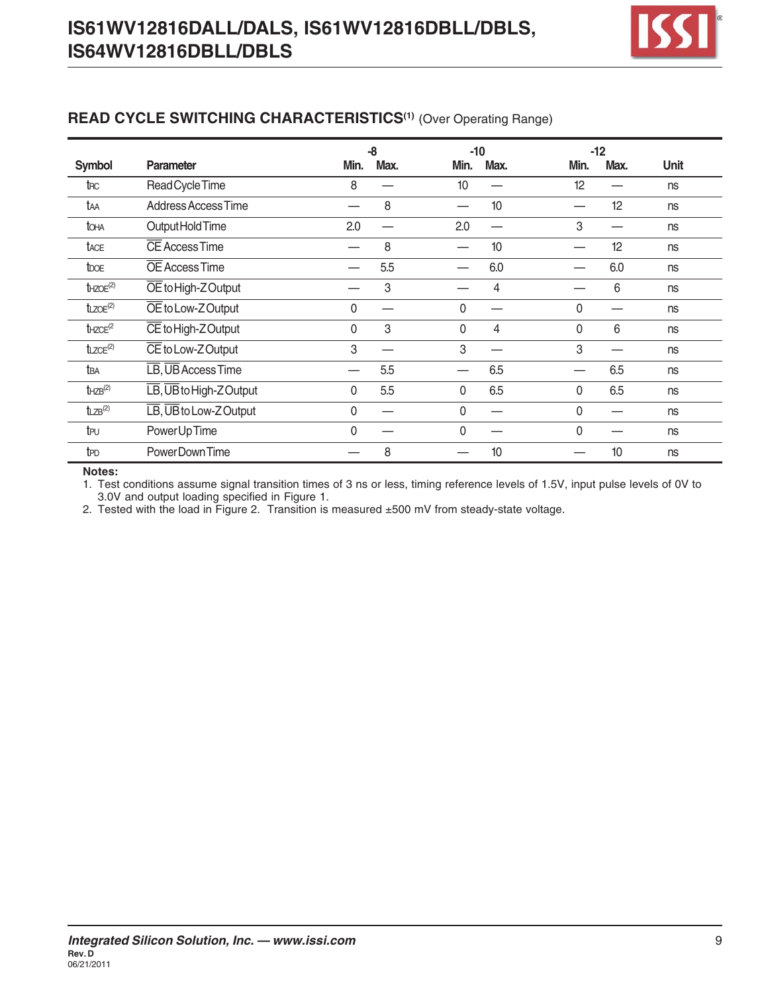

# **READ CYCLE SWITCHING CHARACTERISTICS(1)** (Over Operating Range)

|                           |                                                    |              | -8   |      | $-10$ |              | $-12$ |      |
|---------------------------|----------------------------------------------------|--------------|------|------|-------|--------------|-------|------|
| <b>Symbol</b>             | Parameter                                          | Min.         | Max. | Min. | Max.  | Min.         | Max.  | Unit |
| t <sub>RC</sub>           | Read Cycle Time                                    | 8            |      | 10   |       | 12           |       | ns   |
| taa                       | Address Access Time                                |              | 8    |      | 10    |              | 12    | ns   |
| toha                      | Output Hold Time                                   | 2.0          |      | 2.0  |       | 3            |       | ns   |
| tace                      | <b>CE Access Time</b>                              |              | 8    |      | 10    |              | 12    | ns   |
| tooe                      | OE Access Time                                     |              | 5.5  |      | 6.0   |              | 6.0   | ns   |
| $t$ HZOE <sup>(2)</sup>   | OE to High-Z Output                                |              | 3    |      | 4     |              | 6     | ns   |
| $t_{LZOE}$ <sup>(2)</sup> | OE to Low-ZOutput                                  | 0            |      | 0    |       | $\Omega$     |       | ns   |
| $t$ HZCE <sup>(2</sup>    | CE to High-Z Output                                | $\mathbf 0$  | 3    | 0    | 4     | $\mathbf{0}$ | 6     | ns   |
| $t_{LZCE}$ <sup>(2)</sup> | CE to Low-ZOutput                                  | 3            |      | 3    |       | 3            |       | ns   |
| t <sub>BA</sub>           | LB, UB Access Time                                 |              | 5.5  |      | 6.5   |              | 6.5   | ns   |
| $t$ HZB $^{(2)}$          | $\overline{LB}$ , $\overline{UB}$ to High-Z Output | $\mathbf{0}$ | 5.5  | 0    | 6.5   | $\mathbf{0}$ | 6.5   | ns   |
| $t_{LZB}^{(2)}$           | $\overline{LB}$ , $\overline{UB}$ to Low-Z Output  | 0            |      | 0    |       | $\Omega$     |       | ns   |
| tpu                       | Power Up Time                                      | 0            |      | 0    |       | $\Omega$     |       | ns   |
| t <sub>PD</sub>           | PowerDown Time                                     |              | 8    |      | 10    |              | 10    | ns   |

#### **Notes:**

1. Test conditions assume signal transition times of 3 ns or less, timing reference levels of 1.5V, input pulse levels of 0V to 3.0V and output loading specified in Figure 1.

2. Tested with the load in Figure 2. Transition is measured ±500 mV from steady-state voltage.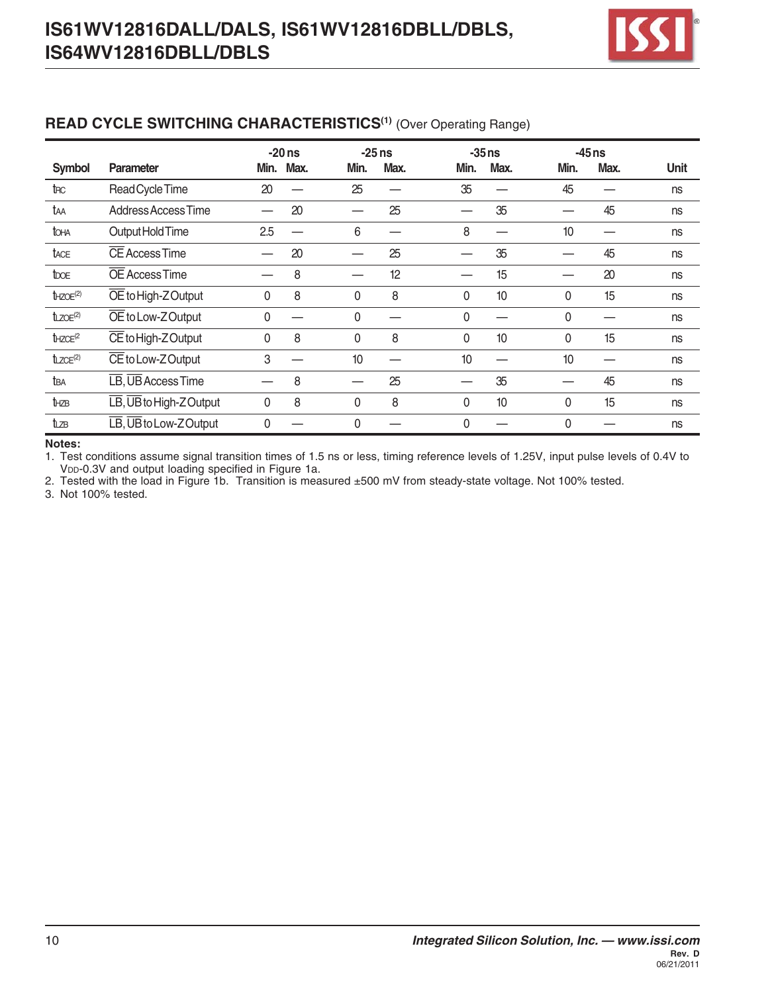

#### **READ CYCLE SWITCHING CHARACTERISTICS<sup>(1)</sup> (Over Operating Range)**

|                           |                                                                  |          | $-20$ ns  |          | $-25$ ns |              | $-35$ ns |              | $-45$ ns |             |
|---------------------------|------------------------------------------------------------------|----------|-----------|----------|----------|--------------|----------|--------------|----------|-------------|
| Symbol                    | <b>Parameter</b>                                                 |          | Min. Max. | Min.     | Max.     | Min.         | Max.     | Min.         | Max.     | <b>Unit</b> |
| t <sub>RC</sub>           | Read Cycle Time                                                  | 20       |           | 25       |          | 35           |          | 45           |          | ns          |
| taa                       | Address Access Time                                              |          | 20        |          | 25       |              | 35       |              | 45       | ns          |
| toha                      | Output Hold Time                                                 | 2.5      |           | 6        |          | 8            |          | 10           |          | ns          |
| tace                      | CE Access Time                                                   |          | 20        |          | 25       |              | 35       |              | 45       | ns          |
| <b>t</b> bo <sub>E</sub>  | OE Access Time                                                   |          | 8         |          | 12       |              | 15       |              | 20       | ns          |
| $t$ HZOE <sup>(2)</sup>   | $\overline{OE}$ to High-Z Output                                 | 0        | 8         | 0        | 8        | $\mathbf{0}$ | 10       | $\mathbf{0}$ | 15       | ns          |
| $t_{LZOE}$ <sup>(2)</sup> | OE to Low-ZOutput                                                | $\Omega$ |           | 0        |          | 0            |          | 0            |          | ns          |
| $t$ HZCE <sup>(2</sup>    | $\overline{\text{CE}}$ to High-Z Output                          | $\Omega$ | 8         | 0        | 8        | 0            | 10       | 0            | 15       | ns          |
| $t_{LZCE}$ <sup>(2)</sup> | CE to Low-Z Output                                               | 3        |           | 10       |          | 10           |          | 10           |          | ns          |
| tba                       | LB, UB Access Time                                               |          | 8         |          | 25       |              | 35       |              | 45       | ns          |
| thze                      | $\overline{\text{LB}}$ , $\overline{\text{UB}}$ to High-Z Output | 0        | 8         | 0        | 8        | 0            | 10       | 0            | 15       | ns          |
| tızв                      | $\overline{\text{LB}}$ , $\overline{\text{UB}}$ to Low-Z Output  | $\Omega$ |           | $\Omega$ |          | $\Omega$     |          | $\Omega$     |          | ns          |

#### **Notes:**

1. Test conditions assume signal transition times of 1.5 ns or less, timing reference levels of 1.25V, input pulse levels of 0.4V to V<sub>DD</sub>-0.3V and output loading specified in Figure 1a.

2. Tested with the load in Figure 1b. Transition is measured ±500 mV from steady-state voltage. Not 100% tested.

3. Not 100% tested.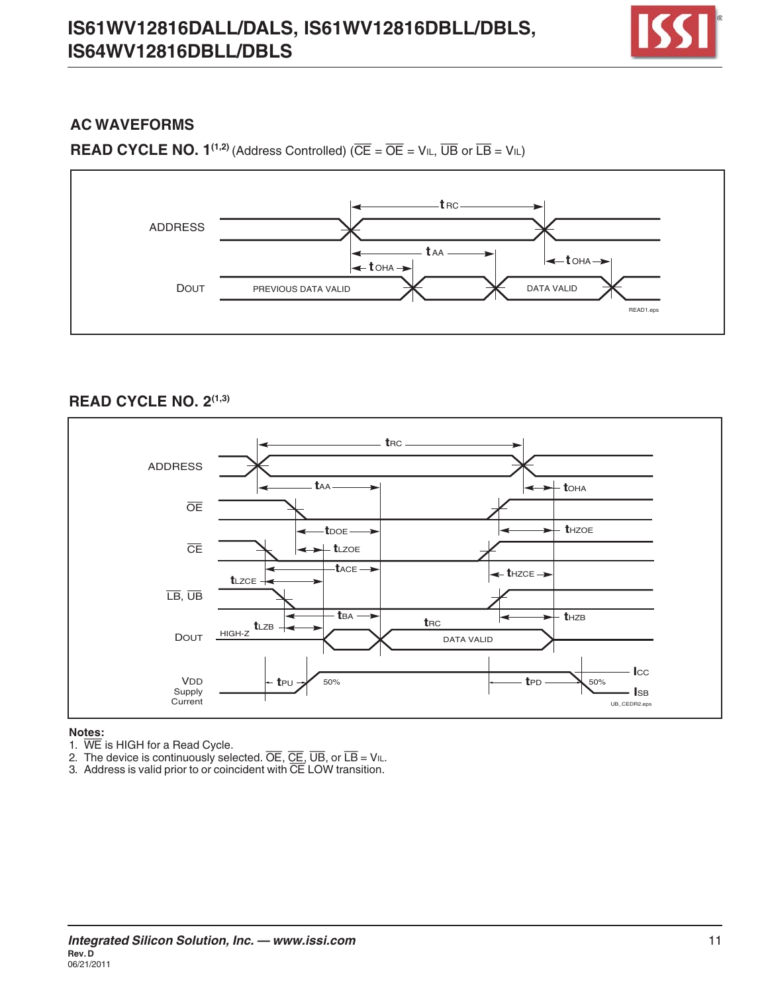

### **AC WAVEFORMS**

**READ CYCLE NO. 1<sup>(1,2)</sup>** (Address Controlled) ( $\overline{CE} = \overline{OE} = VIL$ ,  $\overline{UB}$  or  $\overline{LB} = VIL$ )



#### **READ CYCLE NO. 2(1,3)**



#### **Notes:**

1. WE is HIGH for a Read Cycle.

2. The device is continuously selected. OE, CE, UB, or LB = VIL.

3. Address is valid prior to or coincident with CE LOW transition.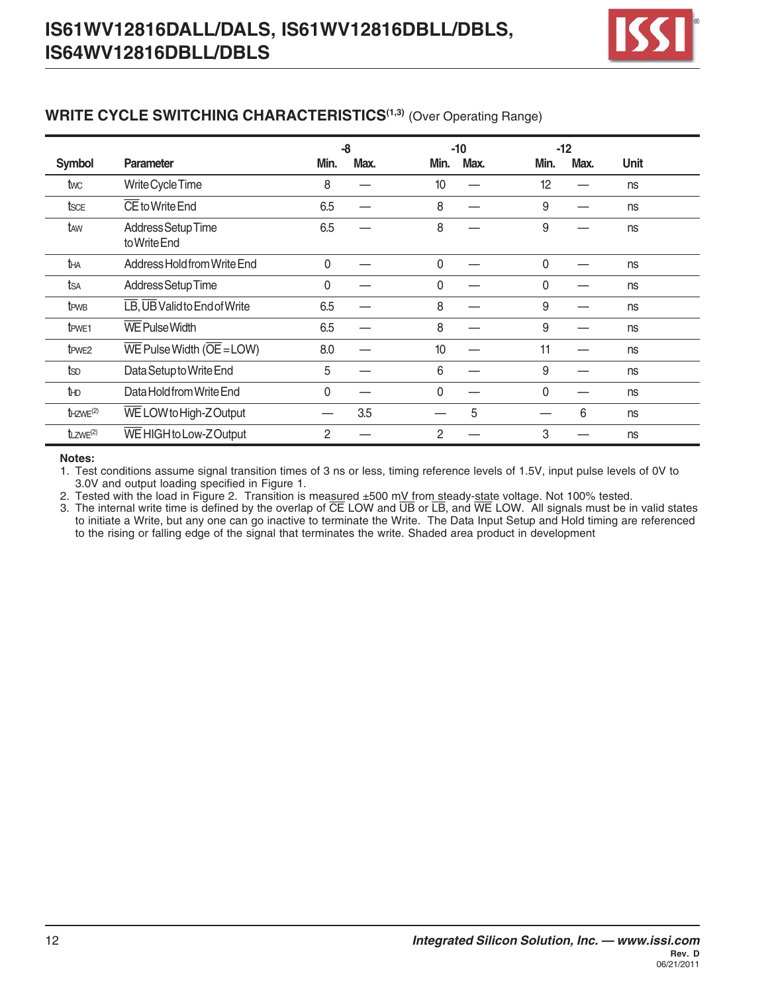

#### **WRITE CYCLE SWITCHING CHARACTERISTICS<sup>(1,3)</sup> (Over Operating Range)**

|                         |                                                                    |                | -8   |          | $-10$ | $-12$    |      |             |  |
|-------------------------|--------------------------------------------------------------------|----------------|------|----------|-------|----------|------|-------------|--|
| <b>Symbol</b>           | <b>Parameter</b>                                                   | Min.           | Max. | Min.     | Max.  | Min.     | Max. | <b>Unit</b> |  |
| twc                     | Write Cycle Time                                                   | 8              |      | 10       |       | 12       |      | ns          |  |
| tsce                    | CE to Write End                                                    | 6.5            |      | 8        |       | 9        |      | ns          |  |
| taw                     | Address Setup Time<br>to Write End                                 | 6.5            |      | 8        |       | 9        |      | ns          |  |
| tна                     | Address Hold from Write End                                        | $\mathbf 0$    |      | $\Omega$ |       | $\Omega$ |      | ns          |  |
| tsa                     | Address Setup Time                                                 | $\mathbf{0}$   |      | $\Omega$ |       | 0        |      | ns          |  |
| t <sub>PWB</sub>        | LB, UB Valid to End of Write                                       | 6.5            |      | 8        |       | 9        |      | ns          |  |
| t <sub>PWE1</sub>       | <b>WE Pulse Width</b>                                              | 6.5            |      | 8        |       | 9        |      | ns          |  |
| t <sub>PWE2</sub>       | $\overline{\text{WE}}$ Pulse Width ( $\overline{\text{OE}}$ = LOW) | 8.0            |      | 10       |       | 11       |      | ns          |  |
| tsp                     | Data Setup to Write End                                            | 5              |      | 6        |       | 9        |      | ns          |  |
| tнD                     | Data Hold from Write End                                           | $\mathbf 0$    |      | 0        |       | 0        |      | ns          |  |
| $t$ HZWE <sup>(2)</sup> | WE LOW to High-Z Output                                            | --             | 3.5  |          | 5     |          | 6    | ns          |  |
| $t_{LZWE}^{(2)}$        | WE HIGH to Low-Z Output                                            | $\overline{c}$ |      | 2        |       | 3        |      | ns          |  |

#### **Notes:**

1. Test conditions assume signal transition times of 3 ns or less, timing reference levels of 1.5V, input pulse levels of 0V to 3.0V and output loading specified in Figure 1.

2. Tested with the load in Figure 2. Transition is measured ±500 mV from steady-state voltage. Not 100% tested.

3. The internal write time is defined by the overlap of  $\overline{CE}$  LOW and  $\overline{UB}$  or  $\overline{LB}$ , and  $\overline{WE}$  LOW. All signals must be in valid states to initiate a Write, but any one can go inactive to terminate the Write. The Data Input Setup and Hold timing are referenced to the rising or falling edge of the signal that terminates the write. Shaded area product in development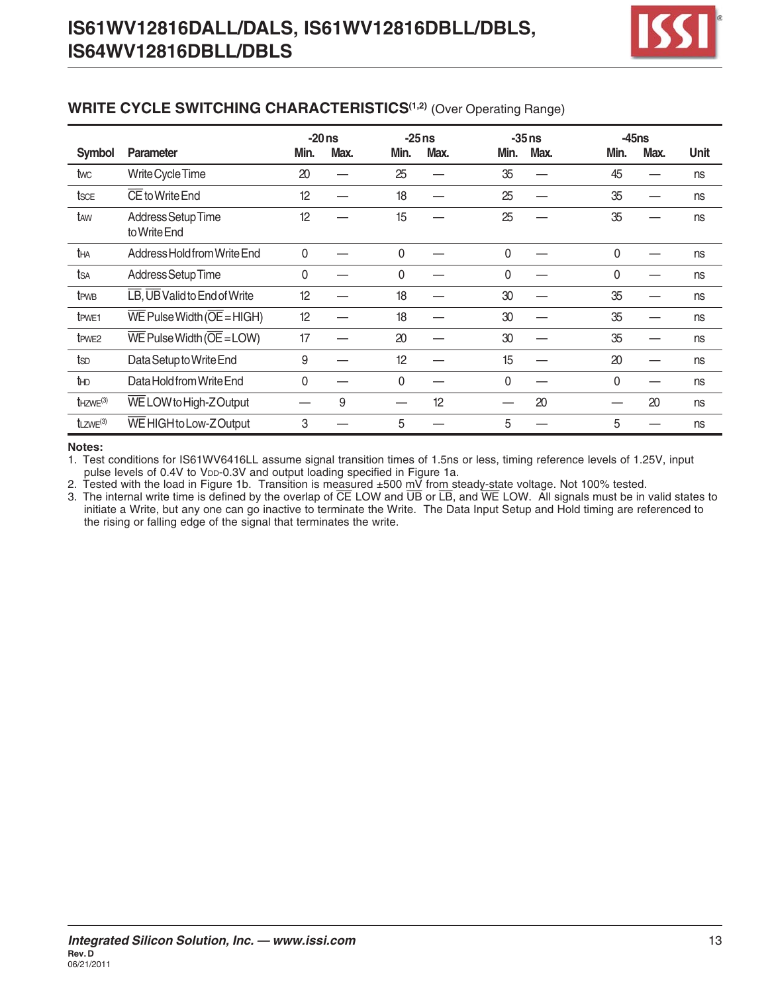

#### **WRITE CYCLE SWITCHING CHARACTERISTICS<sup>(1,2)</sup> (Over Operating Range)**

|                           |                                                                     |      | $-20ns$ |      | $-25ns$ |              | $-35$ ns |              | $-45ns$ |      |
|---------------------------|---------------------------------------------------------------------|------|---------|------|---------|--------------|----------|--------------|---------|------|
| Symbol                    | Parameter                                                           | Min. | Max.    | Min. | Max.    | Min.         | Max.     | Min.         | Max.    | Unit |
| twc                       | Write Cycle Time                                                    | 20   |         | 25   |         | 35           |          | 45           |         | ns   |
| tsce                      | CE to Write End                                                     | 12   |         | 18   |         | 25           |          | 35           |         | ns   |
| taw                       | Address Setup Time<br>to Write End                                  | 12   |         | 15   |         | 25           |          | 35           |         | ns   |
| tha                       | Address Hold from Write End                                         | 0    |         | 0    |         | $\mathbf{0}$ |          | $\mathbf{0}$ |         | ns   |
| tsa                       | Address Setup Time                                                  | 0    |         | 0    |         | 0            |          | $\Omega$     |         | ns   |
| t <sub>PWB</sub>          | LB, UB Valid to End of Write                                        | 12   |         | 18   |         | 30           |          | 35           |         | ns   |
| t <sub>PWE1</sub>         | $\overline{\text{WE}}$ Pulse Width ( $\overline{\text{OE}}$ = HIGH) | 12   |         | 18   |         | 30           |          | 35           |         | ns   |
| t <sub>PWE2</sub>         | $\overline{\text{WE}}$ Pulse Width ( $\overline{\text{OE}}$ = LOW)  | 17   |         | 20   |         | 30           |          | 35           |         | ns   |
| tsp                       | Data Setup to Write End                                             | 9    |         | 12   |         | 15           |          | 20           |         | ns   |
| tно                       | Data Hold from Write End                                            | 0    |         | 0    |         | $\mathbf{0}$ |          | $\Omega$     |         | ns   |
| $t$ HZWE <sup>(3)</sup>   | WE LOW to High-Z Output                                             |      | 9       |      | 12      |              | 20       |              | 20      | ns   |
| $t_{LZWE}$ <sup>(3)</sup> | WE HIGH to Low-Z Output                                             | 3    |         | 5    |         | 5            |          | 5            |         | ns   |

#### **Notes:**

1. Test conditions for IS61WV6416LL assume signal transition times of 1.5ns or less, timing reference levels of 1.25V, input pulse levels of 0.4V to VDD-0.3V and output loading specified in Figure 1a.

2. Tested with the load in Figure 1b. Transition is measured ±500 mV from steady-state voltage. Not 100% tested.

3. The internal write time is defined by the overlap of CE LOW and UB or LB, and WE LOW. All signals must be in valid states to initiate a Write, but any one can go inactive to terminate the Write. The Data Input Setup and Hold timing are referenced to the rising or falling edge of the signal that terminates the write.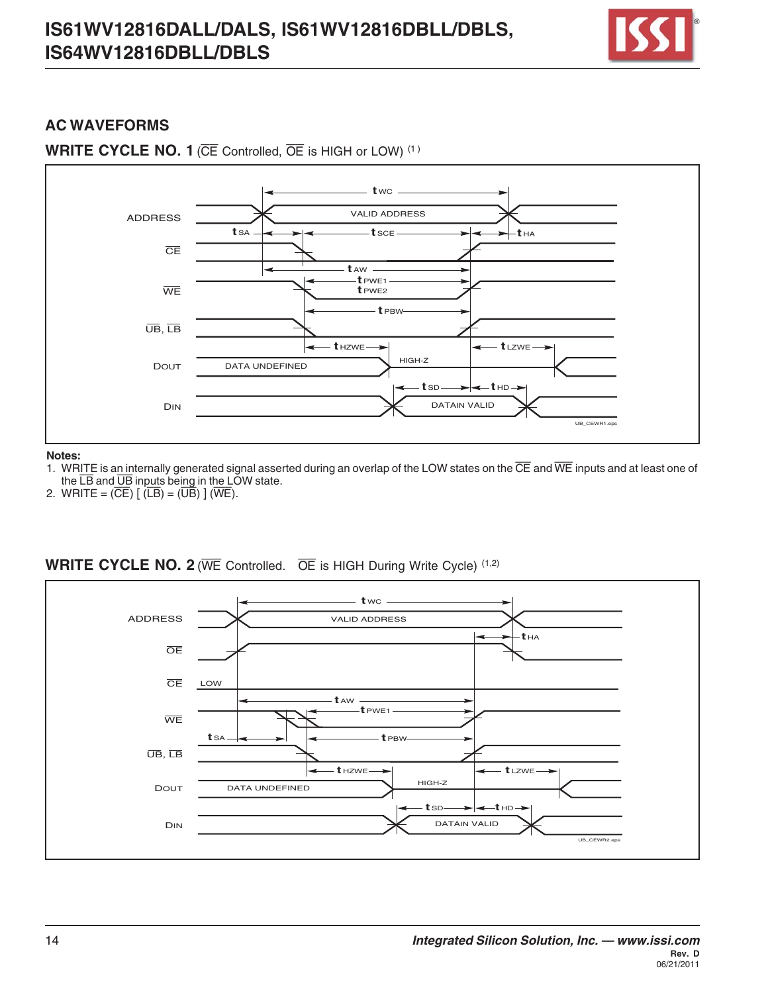

#### **AC WAVEFORMS**





#### **Notes:**

- 1. WRITE is an internally generated signal asserted during an overlap of the LOW states on the CE and WE inputs and at least one of the  $\overline{LB}$  and  $\overline{UB}$  inputs being in the LOW state.
- 2. WRITE =  $(\overline{CE})$   $[(\overline{LB}) = (\overline{UB})]$   $(\overline{WE})$ .



#### **WRITE CYCLE NO. 2** (WE Controlled. OE is HIGH During Write Cycle) (1,2)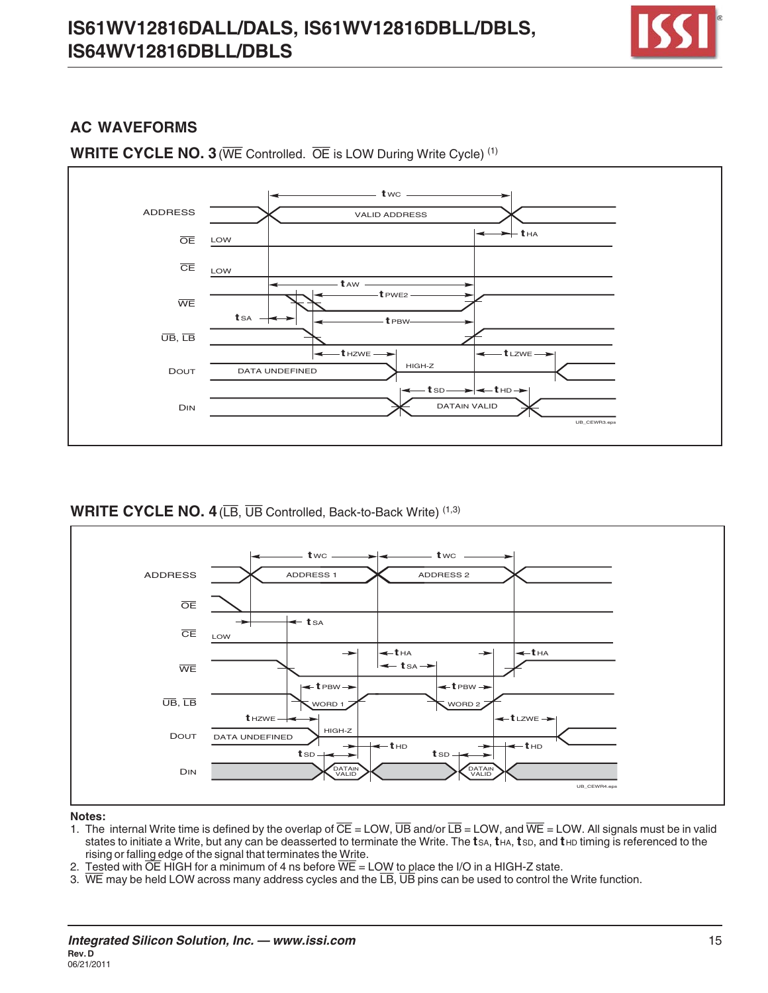

## **AC WAVEFORMS**



**WRITE CYCLE NO. 3** (WE Controlled. OE is LOW During Write Cycle)<sup>(1)</sup>

#### **WRITE CYCLE NO. 4** (LB, UB Controlled, Back-to-Back Write) (1,3)



#### **Notes:**

- 1. The internal Write time is defined by the overlap of  $\overline{CE}$  = LOW,  $\overline{UB}$  and/or  $\overline{LB}$  = LOW, and  $\overline{WE}$  = LOW. All signals must be in valid states to initiate a Write, but any can be deasserted to terminate the Write. The tsa, tha, tsp, and the timing is referenced to the rising or falling edge of the signal that terminates the Write.
- 2. Tested with  $\overline{OE}$  HIGH for a minimum of 4 ns before  $\overline{WE}$  = LOW to place the I/O in a HIGH-Z state.
- 3. WE may be held LOW across many address cycles and the  $\overline{LB}$ ,  $\overline{UB}$  pins can be used to control the Write function.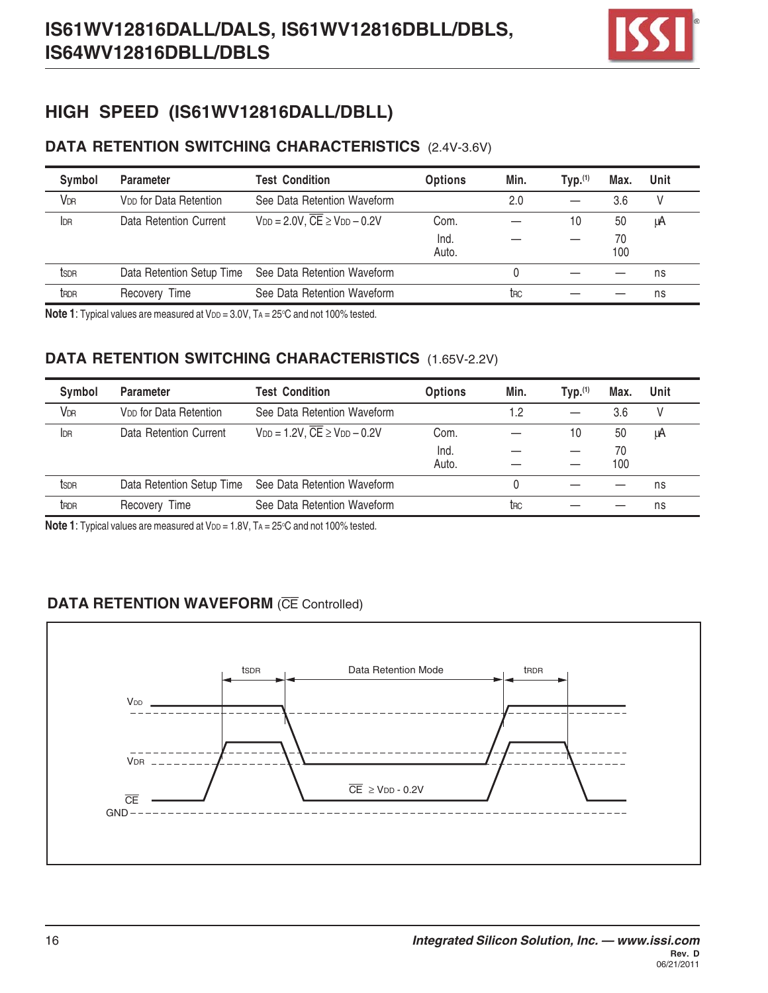

# **HIGH SPEED (IS61WV12816DALL/DBLL)**

## **DATA RETENTION SWITCHING CHARACTERISTICS** (2.4V-3.6V)

| Symbol           | <b>Parameter</b>                   | <b>Test Condition</b>                                 | <b>Options</b> | Min.            | Typ. <sup>(1)</sup> | Max.      | Unit |
|------------------|------------------------------------|-------------------------------------------------------|----------------|-----------------|---------------------|-----------|------|
| <b>VDR</b>       | V <sub>DD</sub> for Data Retention | See Data Retention Waveform                           |                | 2.0             |                     | 3.6       | V    |
| <b>IDR</b>       | Data Retention Current             | $V_{DD} = 2.0V$ , $\overline{CE} \geq V_{DD} - 0.2V$  | Com.           |                 | 10                  | 50        | μA   |
|                  |                                    |                                                       | Ind.<br>Auto.  |                 |                     | 70<br>100 |      |
| tsdr             |                                    | Data Retention Setup Time See Data Retention Waveform |                |                 |                     |           | ns   |
| t <sub>RDR</sub> | Recovery Time                      | See Data Retention Waveform                           |                | t <sub>RC</sub> |                     |           | ns   |

**Note 1**: Typical values are measured at V $p$ p = 3.0V, TA = 25°C and not 100% tested.

## **DATA RETENTION SWITCHING CHARACTERISTICS** (1.65V-2.2V)

| Symbol                | <b>Parameter</b>                   | <b>Test Condition</b>                               | <b>Options</b> | Min. | Typ. <sup>(1)</sup> | Max. | Unit |
|-----------------------|------------------------------------|-----------------------------------------------------|----------------|------|---------------------|------|------|
| <b>V<sub>DR</sub></b> | V <sub>DD</sub> for Data Retention | See Data Retention Waveform                         |                | 1.2  |                     | 3.6  | V    |
| IDR                   | Data Retention Current             | $V_{DD} = 1.2V$ , $\overline{CE} \ge V_{DD} - 0.2V$ | Com.           |      | 10                  | 50   | μA   |
|                       |                                    |                                                     | Ind.           |      |                     | 70   |      |
|                       |                                    |                                                     | Auto.          |      |                     | 100  |      |
| ts <sub>DR</sub>      | Data Retention Setup Time          | See Data Retention Waveform                         |                |      |                     |      | ns   |
| t <sub>RDR</sub>      | Recovery Time                      | See Data Retention Waveform                         |                | trc  |                     |      | ns   |

**Note 1**: Typical values are measured at V $p$ p = 1.8V, TA = 25°C and not 100% tested.

## **DATA RETENTION WAVEFORM (CE Controlled)**

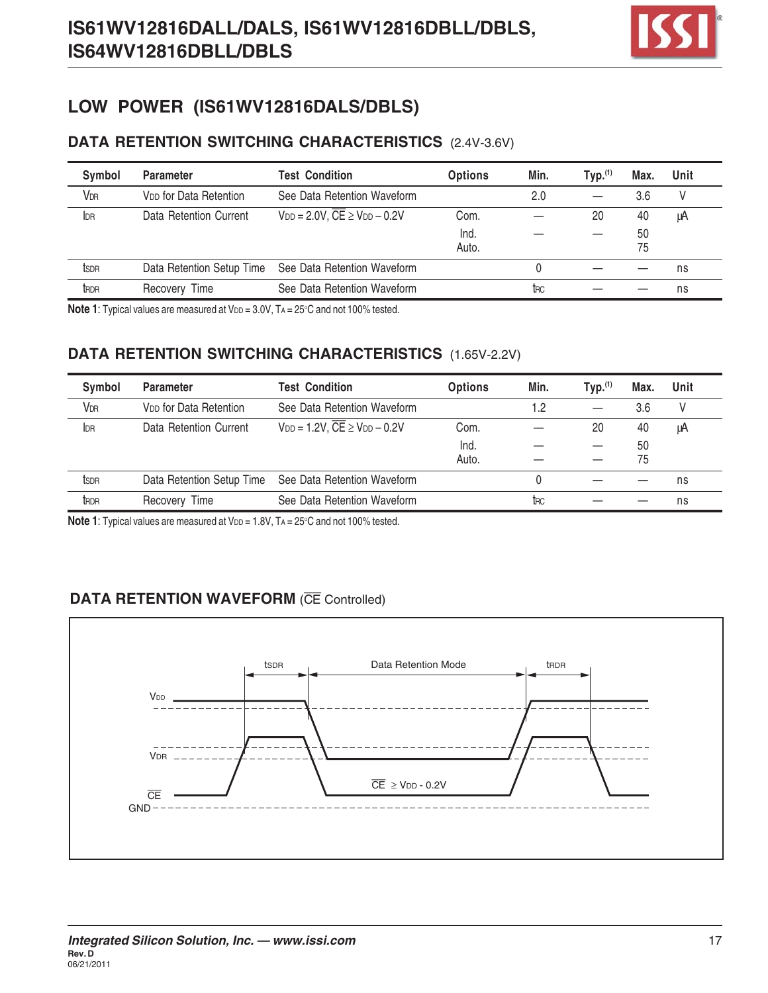

# **LOW POWER (IS61WV12816DALS/DBLS)**

## **DATA RETENTION SWITCHING CHARACTERISTICS** (2.4V-3.6V)

| Symbol                | <b>Parameter</b>                   | <b>Test Condition</b>                                 | <b>Options</b> | Min. | TVD. <sup>(1)</sup> | Max. | Unit |
|-----------------------|------------------------------------|-------------------------------------------------------|----------------|------|---------------------|------|------|
| <b>V<sub>DR</sub></b> | V <sub>DD</sub> for Data Retention | See Data Retention Waveform                           |                | 2.0  |                     | 3.6  | V    |
| IDR                   | Data Retention Current             | $V_{DD} = 2.0 V$ , $\overline{CE} \ge V_{DD} - 0.2 V$ | Com.           |      | 20                  | 40   | μA   |
|                       |                                    |                                                       | Ind.           |      |                     | 50   |      |
|                       |                                    |                                                       | Auto.          |      |                     | 75   |      |
| tsdr                  | Data Retention Setup Time          | See Data Retention Waveform                           |                |      |                     |      | ns   |
| tRDR                  | Recovery Time                      | See Data Retention Waveform                           |                | trc  |                     |      | ns   |

**Note 1**: Typical values are measured at V $p$ p = 3.0V, TA = 25°C and not 100% tested.

## **DATA RETENTION SWITCHING CHARACTERISTICS** (1.65V-2.2V)

| Symbol           | <b>Parameter</b>                   | <b>Test Condition</b>                                 | <b>Options</b> | Min. | Typ. <sup>(1)</sup> | Max. | Unit |
|------------------|------------------------------------|-------------------------------------------------------|----------------|------|---------------------|------|------|
| <b>VDR</b>       | V <sub>DD</sub> for Data Retention | See Data Retention Waveform                           |                | 1.2  |                     | 3.6  |      |
| <b>IDR</b>       | Data Retention Current             | $V_{DD} = 1.2V$ , $\overline{CE} \geq V_{DD} - 0.2V$  | Com.           |      | 20                  | 40   | μA   |
|                  |                                    |                                                       | Ind.           |      |                     | 50   |      |
|                  |                                    |                                                       | Auto.          |      |                     | 75   |      |
| tsdr             |                                    | Data Retention Setup Time See Data Retention Waveform |                |      |                     |      | ns   |
| t <sub>RDR</sub> | Recovery Time                      | See Data Retention Waveform                           |                | trc  |                     |      | ns   |

**Note 1**: Typical values are measured at V $p$ p = 1.8V, TA = 25°C and not 100% tested.

## **DATA RETENTION WAVEFORM (CE Controlled)**

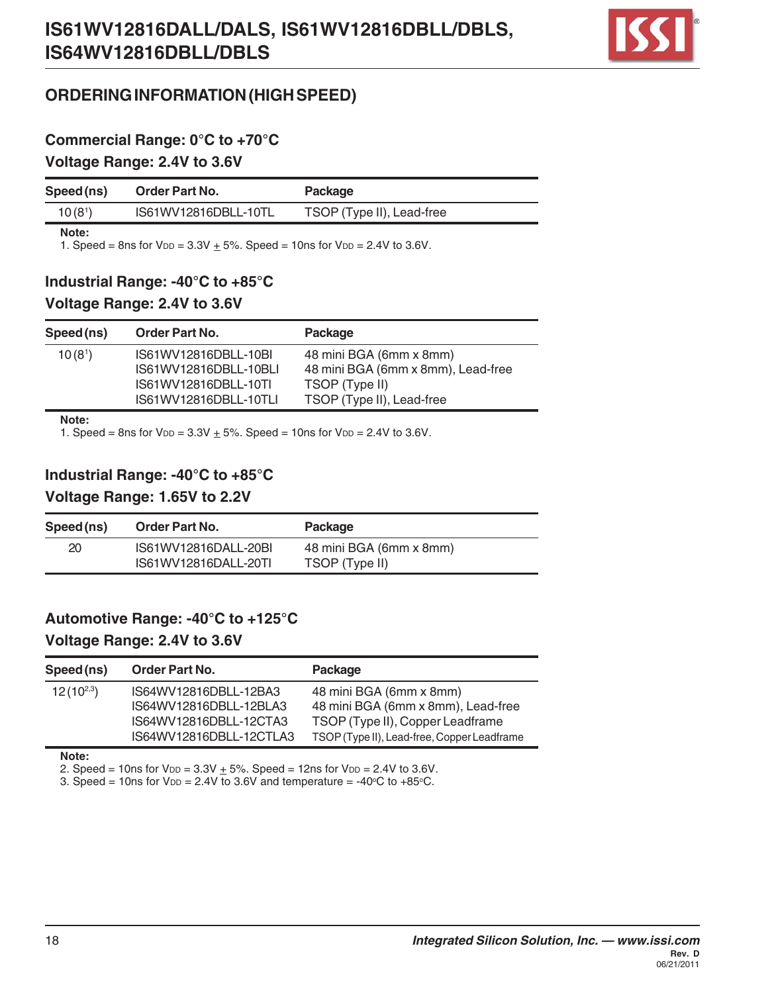

## **ORDERING INFORMATION (HIGH SPEED)**

## **Commercial Range: 0°C to +70°C Voltage Range: 2.4V to 3.6V**

| Speed (ns)          | <b>Order Part No.</b> | Package                   |
|---------------------|-----------------------|---------------------------|
| 10(8 <sup>1</sup> ) | IS61WV12816DBLL-10TL  | TSOP (Type II), Lead-free |

**Note:**

1. Speed = 8ns for  $V_{DD} = 3.3V + 5%$ . Speed = 10ns for  $V_{DD} = 2.4V$  to 3.6V.

#### **Industrial Range: -40°C to +85°C**

#### **Voltage Range: 2.4V to 3.6V**

| Speed (ns)          | <b>Order Part No.</b>                         | Package                                                       |
|---------------------|-----------------------------------------------|---------------------------------------------------------------|
| 10(8 <sup>1</sup> ) | IS61WV12816DBLL-10BI<br>IS61WV12816DBLL-10BLI | 48 mini BGA (6mm x 8mm)<br>48 mini BGA (6mm x 8mm), Lead-free |
|                     | IS61WV12816DBLL-10TI<br>IS61WV12816DBLL-10TLI | TSOP (Type II)<br>TSOP (Type II), Lead-free                   |

**Note:**

1. Speed = 8ns for  $V_{DD} = 3.3V + 5%$ . Speed = 10ns for  $V_{DD} = 2.4V$  to 3.6V.

#### **Industrial Range: -40°C to +85°C**

#### **Voltage Range: 1.65V to 2.2V**

| Speed (ns) | <b>Order Part No.</b> | Package                 |  |
|------------|-----------------------|-------------------------|--|
| 20         | IS61WV12816DALL-20BI  | 48 mini BGA (6mm x 8mm) |  |
|            | IS61WV12816DALL-20TI  | TSOP (Type II)          |  |

# **Automotive Range: -40°C to +125°C Voltage Range: 2.4V to 3.6V**

| Speed (ns)     | Order Part No.          | Package                                     |
|----------------|-------------------------|---------------------------------------------|
| $12(10^{2,3})$ | IS64WV12816DBLL-12BA3   | 48 mini BGA (6mm x 8mm)                     |
|                | IS64WV12816DBLL-12BLA3  | 48 mini BGA (6mm x 8mm), Lead-free          |
|                | IS64WV12816DBLL-12CTA3  | TSOP (Type II), Copper Leadframe            |
|                | IS64WV12816DBLL-12CTLA3 | TSOP (Type II), Lead-free, Copper Leadframe |

**Note:**

2. Speed = 10ns for  $V_{DD} = 3.3V + 5%$ . Speed = 12ns for  $V_{DD} = 2.4V$  to 3.6V.

3. Speed = 10ns for  $V_{DD} = 2.4V$  to 3.6V and temperature = -40°C to +85°C.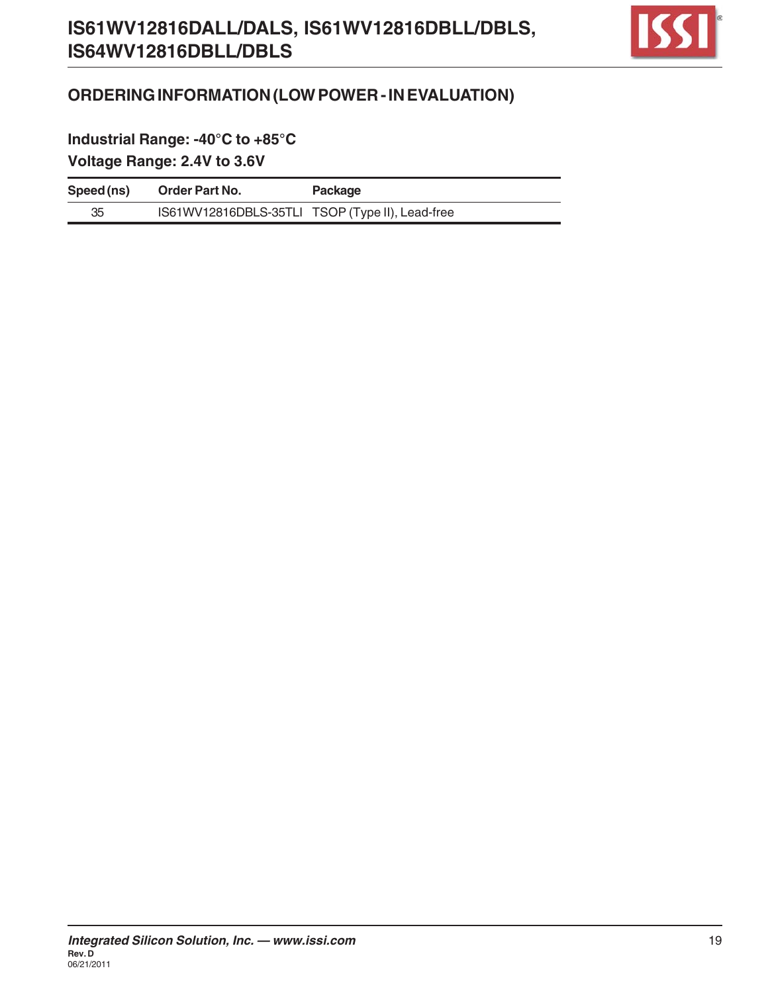

# **ORDERING INFORMATION (LOW POWER - IN EVALUATION)**

**Industrial Range: -40°C to +85°C Voltage Range: 2.4V to 3.6V**

| Speed (ns) | <b>Order Part No.</b>                           | Package |
|------------|-------------------------------------------------|---------|
| 35         | IS61WV12816DBLS-35TLI TSOP (Type II), Lead-free |         |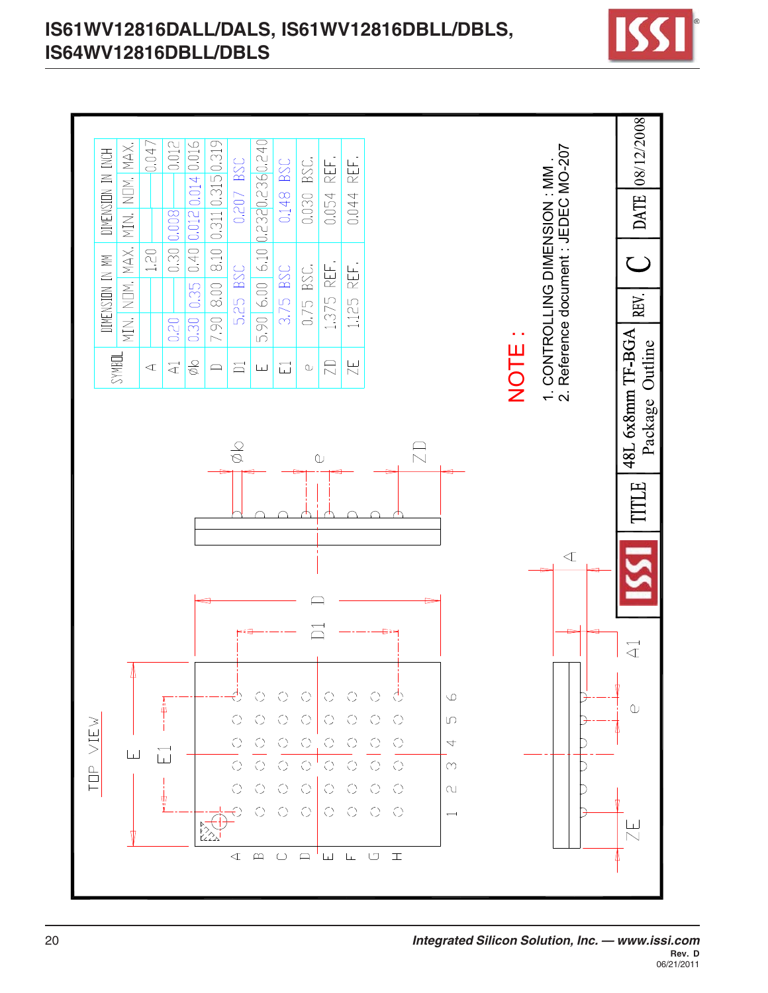